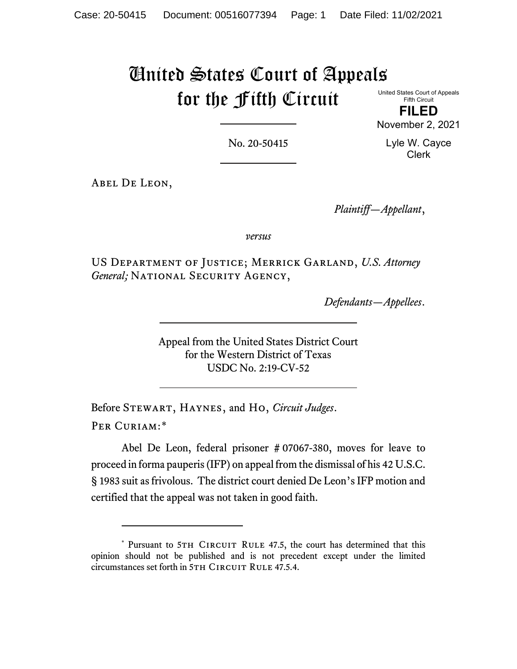## United States Court of Appeals for the Fifth Circuit

United States Court of Appeals Fifth Circuit

**FILED** November 2, 2021

No. 20-50415

Lyle W. Cayce Clerk

Abel De Leon,

*Plaintiff—Appellant*,

*versus*

US Department of Justice; Merrick Garland, *U.S. Attorney*  General; NATIONAL SECURITY AGENCY,

*Defendants—Appellees*.

Appeal from the United States District Court for the Western District of Texas USDC No. 2:19-CV-52

Before Stewart, Haynes, and Ho, *Circuit Judges*. Per Curiam:[\\*](#page-0-0)

Abel De Leon, federal prisoner # 07067-380, moves for leave to proceed in forma pauperis (IFP) on appeal from the dismissal of his 42 U.S.C. § 1983 suit as frivolous. The district court denied De Leon's IFP motion and certified that the appeal was not taken in good faith.

<span id="page-0-0"></span><sup>\*</sup> Pursuant to 5TH CIRCUIT RULE 47.5, the court has determined that this opinion should not be published and is not precedent except under the limited circumstances set forth in 5TH CIRCUIT RULE 47.5.4.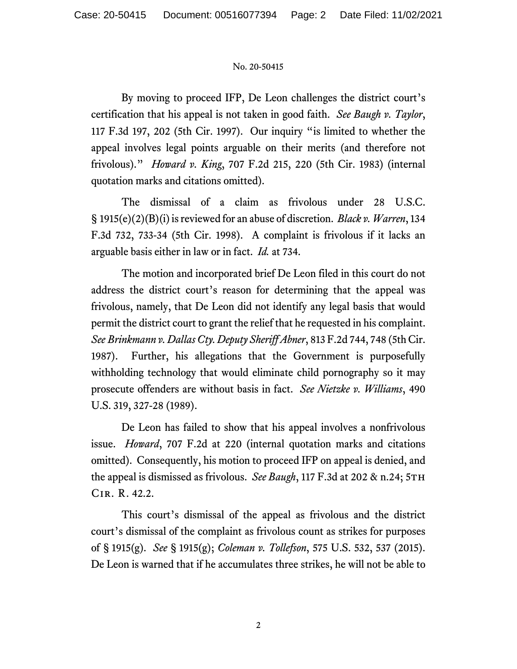## No. 20-50415

By moving to proceed IFP, De Leon challenges the district court's certification that his appeal is not taken in good faith. *See Baugh v. Taylor*, 117 F.3d 197, 202 (5th Cir. 1997). Our inquiry "is limited to whether the appeal involves legal points arguable on their merits (and therefore not frivolous)." *Howard v. King*, 707 F.2d 215, 220 (5th Cir. 1983) (internal quotation marks and citations omitted).

The dismissal of a claim as frivolous under 28 U.S.C. § 1915(e)(2)(B)(i) is reviewed for an abuse of discretion. *Black v. Warren*, 134 F.3d 732, 733-34 (5th Cir. 1998). A complaint is frivolous if it lacks an arguable basis either in law or in fact. *Id.* at 734.

The motion and incorporated brief De Leon filed in this court do not address the district court's reason for determining that the appeal was frivolous, namely, that De Leon did not identify any legal basis that would permit the district court to grant the relief that he requested in his complaint. *See Brinkmann v. Dallas Cty. Deputy Sheriff Abner*, 813 F.2d 744, 748 (5th Cir. 1987). Further, his allegations that the Government is purposefully withholding technology that would eliminate child pornography so it may prosecute offenders are without basis in fact. *See Nietzke v. Williams*, 490 U.S. 319, 327-28 (1989).

De Leon has failed to show that his appeal involves a nonfrivolous issue. *Howard*, 707 F.2d at 220 (internal quotation marks and citations omitted). Consequently, his motion to proceed IFP on appeal is denied, and the appeal is dismissed as frivolous. *See Baugh*, 117 F.3d at 202 & n.24; 5TH Cir. R. 42.2.

This court's dismissal of the appeal as frivolous and the district court's dismissal of the complaint as frivolous count as strikes for purposes of § 1915(g). *See* § 1915(g); *Coleman v. Tollefson*, 575 U.S. 532, 537 (2015). De Leon is warned that if he accumulates three strikes, he will not be able to